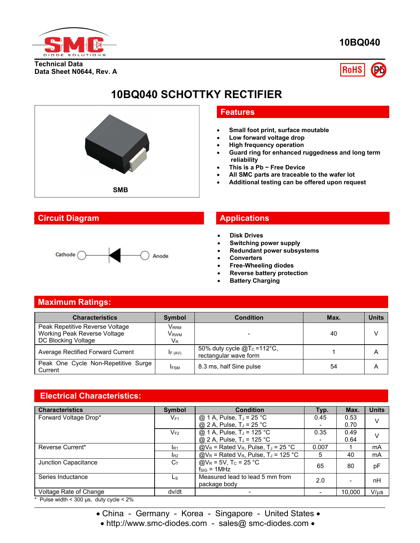

**10BQ040**

**Technical Data Data Sheet N0644, Rev. A**



# **10BQ040 SCHOTTKY RECTIFIER**



# **Circuit Diagram Applications**

# Cathode ( Anode

## **Features**

- **Small foot print, surface moutable**
- **Low forward voltage drop**
- **High frequency operation**
- **Guard ring for enhanced ruggedness and long term reliability**
- **This is a Pb − Free Device**
- **All SMC parts are traceable to the wafer lot**
- **Additional testing can be offered upon request**

- **Disk Drives**
- **Switching power supply**
- **Redundant power subsystems**
- **Converters**
- **Free-Wheeling diodes**
- **Reverse battery protection**
- **Battery Charging**

# **Maximum Ratings:**

| <b>Characteristics</b>                                                                 | <b>Symbol</b>                                   | <b>Condition</b>                                         | Max. | <b>Units</b> |
|----------------------------------------------------------------------------------------|-------------------------------------------------|----------------------------------------------------------|------|--------------|
| Peak Repetitive Reverse Voltage<br>Working Peak Reverse Voltage<br>DC Blocking Voltage | V <sub>RRM</sub><br>V <sub>rwm</sub><br>$V_{R}$ |                                                          | 40   |              |
| Average Rectified Forward Current                                                      | IF (AV)                                         | 50% duty cycle $@T_c = 112°C$ ,<br>rectangular wave form |      | A            |
| Peak One Cycle Non-Repetitive Surge<br>Current                                         | <b>IFSM</b>                                     | 8.3 ms, half Sine pulse                                  | 54   | A            |

# **Electrical Characteristics:**

| <b>Characteristics</b> | <b>Symbol</b>   | <b>Condition</b>                                               | Typ.                     | Max.   | <b>Units</b> |
|------------------------|-----------------|----------------------------------------------------------------|--------------------------|--------|--------------|
| Forward Voltage Drop*  | $V_{F1}$        | @ 1 A, Pulse, $T_J = 25 \degree C$                             | 0.45                     | 0.53   |              |
|                        |                 | @ 2 A, Pulse, $T_J = 25$ °C                                    | $\overline{\phantom{0}}$ | 0.70   |              |
|                        | $V_{F2}$        | @ 1 A, Pulse, $T_J = 125 °C$                                   | 0.35                     | 0.49   |              |
|                        |                 | @ 2 A, Pulse, T <sub>J</sub> = 125 °C                          | $\overline{\phantom{0}}$ | 0.64   |              |
| Reverse Current*       | IR <sub>1</sub> | $@V_R$ = Rated V <sub>R</sub> , Pulse, T <sub>J</sub> = 25 °C  | 0.007                    |        | mA           |
|                        | I <sub>R2</sub> | $@V_R$ = Rated V <sub>R</sub> , Pulse, T <sub>J</sub> = 125 °C | 5                        | 40     | mA           |
| Junction Capacitance   | $C_{T}$         | @ $V_R$ = 5V, T <sub>c</sub> = 25 °C<br>$f_{SIG} = 1 MHz$      | 65                       | 80     | pF           |
| Series Inductance      | Ls              | Measured lead to lead 5 mm from<br>package body                | 2.0                      |        | nH           |
| Voltage Rate of Change | dv/dt           |                                                                |                          | 10,000 | $V/\mu s$    |

Pulse width <  $300 \,\mu s$ , duty cycle <  $2\%$ 

• China - Germany - Korea - Singapore - United States •

• http://www.smc-diodes.com - sales@ smc-diodes.com •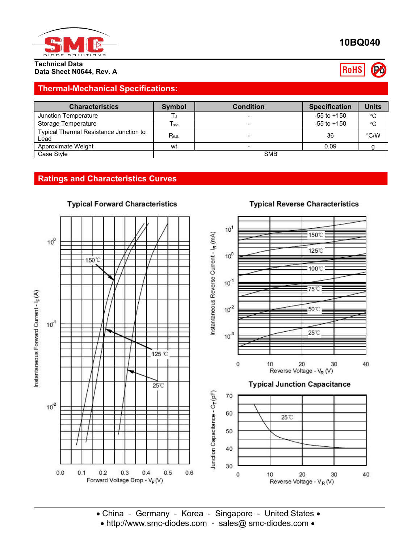

### **Technical Data Data Sheet N0644, Rev. A**

# **Thermal-Mechanical Specifications:**

| <b>Characteristics</b>                         | Symbol          | <b>Condition</b> | <b>Specification</b> | <b>Units</b> |
|------------------------------------------------|-----------------|------------------|----------------------|--------------|
| Junction Temperature                           |                 |                  | $-55$ to $+150$      | °C           |
| Storage Temperature                            | I stg           |                  | $-55$ to $+150$      | $^{\circ}C$  |
| Typical Thermal Resistance Junction to<br>Lead | $R_{\theta JL}$ |                  | 36                   | °C/W         |
| Approximate Weight                             | wt              |                  | 0.09                 |              |
| Case Style                                     | <b>SMB</b>      |                  |                      |              |

# **Ratings and Characteristics Curves**



## **Typical Forward Characteristics**

# **Typical Reverse Characteristics**

• China - Germany - Korea - Singapore - United States • • http://www.smc-diodes.com - sales@ smc-diodes.com •

# **10BQ040**

**RoHS** Po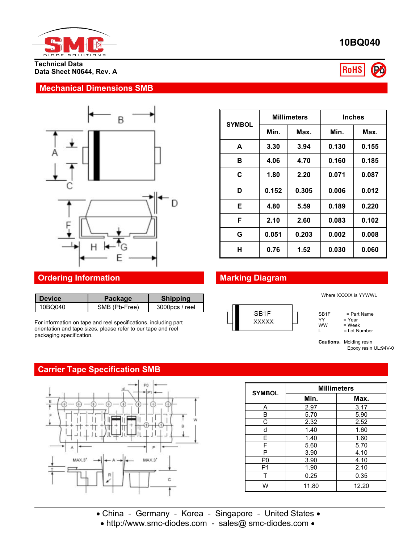

**Technical Data Data Sheet N0644, Rev. A**

## **Mechanical Dimensions SMB**



# **Ordering Information Marking Diagram**

| <b>Device</b> | <b>Package</b> | <b>Shipping</b> |           |
|---------------|----------------|-----------------|-----------|
| 10BQ040       | SMB (Pb-Free)  | 3000pcs / reel  | $\bigcap$ |

For information on tape and reel specifications, including part orientation and tape sizes, please refer to our tape and reel packaging specification.

# **Carrier Tape Specification SMB**



|               | <b>Millimeters</b> |       | <b>Inches</b> |       |
|---------------|--------------------|-------|---------------|-------|
| <b>SYMBOL</b> | Min.               | Max.  | Min.          | Max.  |
| A             | 3.30               | 3.94  | 0.130         | 0.155 |
| в             | 4.06               | 4.70  | 0.160         | 0.185 |
| C             | 1.80               | 2.20  | 0.071         | 0.087 |
| D             | 0.152              | 0.305 | 0.006         | 0.012 |
| Е             | 4.80               | 5.59  | 0.189         | 0.220 |
| F             | 2.10               | 2.60  | 0.083         | 0.102 |
| G             | 0.051              | 0.203 | 0.002         | 0.008 |
| н             | 0.76               | 1.52  | 0.030         | 0.060 |



Where XXXXX is YYWWL

 $SB1F$  = Part Name<br>YY = Year YY = Year<br>WW = Week

 $WW = Week$ <br>  $L = Lot Nu$ = Lot Number

**Cautions: Molding resin** Epoxy resin UL:94V-0

| <b>SYMBOL</b>  | <b>Millimeters</b> |       |  |  |  |
|----------------|--------------------|-------|--|--|--|
|                | Min.               | Max.  |  |  |  |
| Α              | 2.97               | 3.17  |  |  |  |
| B              | 5.70               | 5.90  |  |  |  |
| C              | 2.32               | 2.52  |  |  |  |
| d              | 1.40               | 1.60  |  |  |  |
| F              | 1.40               | 1.60  |  |  |  |
| F              | 5.60               | 5.70  |  |  |  |
| Р              | 3.90               | 4.10  |  |  |  |
| P <sub>0</sub> | 3.90               | 4.10  |  |  |  |
| P <sub>1</sub> | 1.90               | 2.10  |  |  |  |
| т              | 0.25               | 0.35  |  |  |  |
| W              | 11.80              | 12.20 |  |  |  |

• China - Germany - Korea - Singapore - United States • • http://www.smc-diodes.com - sales@ smc-diodes.com •

**10BQ040**